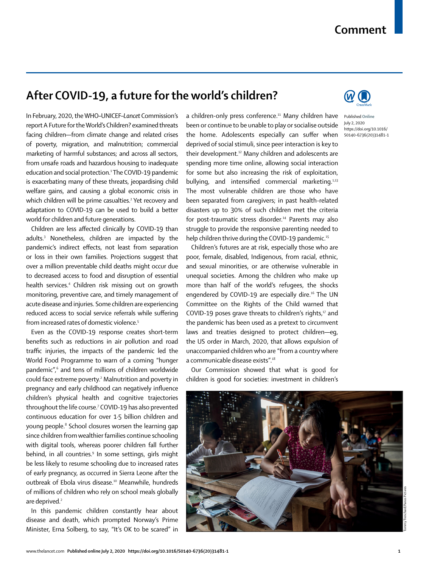## **Comment**

## **After COVID-19, a future for the world's children?**

In February, 2020, the WHO–UNICEF–*Lancet* Commission's report A Future for the World's Children? examined threats facing children—from climate change and related crises of poverty, migration, and malnutrition; commercial marketing of harmful substances; and across all sectors, from unsafe roads and hazardous housing to inadequate education and social protection.<sup>1</sup> The COVID-19 pandemic is exacerbating many of these threats, jeopardising child welfare gains, and causing a global economic crisis in which children will be prime casualties.<sup>2</sup> Yet recovery and adaptation to COVID-19 can be used to build a better world for children and future generations.

Children are less affected clinically by COVID-19 than adults.3 Nonetheless, children are impacted by the pandemic's indirect effects, not least from separation or loss in their own families. Projections suggest that over a million preventable child deaths might occur due to decreased access to food and disruption of essential health services.4 Children risk missing out on growth monitoring, preventive care, and timely management of acute disease and injuries. Some children are experiencing reduced access to social service referrals while suffering from increased rates of domestic violence.<sup>5</sup>

Even as the COVID-19 response creates short-term benefits such as reductions in air pollution and road traffic injuries, the impacts of the pandemic led the World Food Programme to warn of a coming "hunger pandemic",6 and tens of millions of children worldwide could face extreme poverty.<sup>2</sup> Malnutrition and poverty in pregnancy and early childhood can negatively influence children's physical health and cognitive trajectories throughout the life course.7 COVID-19 has also prevented continuous education for over 1·5 billion children and young people.<sup>8</sup> School closures worsen the learning gap since children from wealthier families continue schooling with digital tools, whereas poorer children fall further behind, in all countries.<sup>9</sup> In some settings, girls might be less likely to resume schooling due to increased rates of early pregnancy, as occurred in Sierra Leone after the outbreak of Ebola virus disease.10 Meanwhile, hundreds of millions of children who rely on school meals globally are deprived.<sup>2</sup>

In this pandemic children constantly hear about disease and death, which prompted Norway's Prime Minister, Erna Solberg, to say, "It's OK to be scared" in

a children-only press conference.<sup>11</sup> Many children have Published Online been or continue to be unable to play or socialise outside the home. Adolescents especially can suffer when deprived of social stimuli, since peer interaction is key to their development.12 Many children and adolescents are spending more time online, allowing social interaction for some but also increasing the risk of exploitation, bullying, and intensified commercial marketing.<sup>1,13</sup> The most vulnerable children are those who have been separated from caregivers; in past health-related disasters up to 30% of such children met the criteria for post-traumatic stress disorder.<sup>14</sup> Parents may also struggle to provide the responsive parenting needed to help children thrive during the COVID-19 pandemic.<sup>15</sup>

Children's futures are at risk, especially those who are poor, female, disabled, Indigenous, from racial, ethnic, and sexual minorities, or are otherwise vulnerable in unequal societies. Among the children who make up more than half of the world's refugees, the shocks engendered by COVID-19 are especially dire.<sup>16</sup> The UN Committee on the Rights of the Child warned that COVID-19 poses grave threats to children's rights, $17$  and the pandemic has been used as a pretext to circumvent laws and treaties designed to protect children—eg, the US order in March, 2020, that allows expulsion of unaccompanied children who are "from a country where a communicable disease exists".18

Our Commission showed that what is good for children is good for societies: investment in children's





July 2, 2020 https://doi.org/10.1016/ S0140-6736(20)31481-1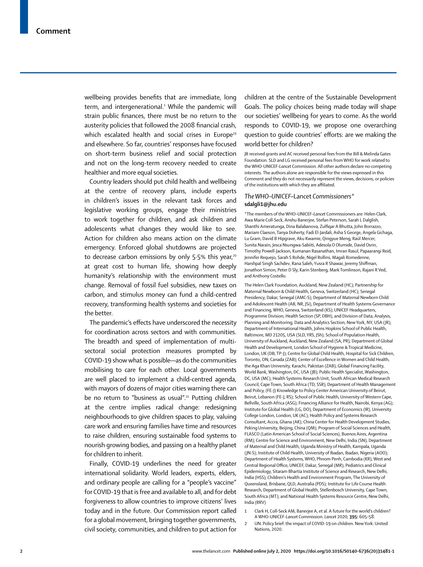wellbeing provides benefits that are immediate, long term, and intergenerational.<sup>1</sup> While the pandemic will strain public finances, there must be no return to the austerity policies that followed the 2008 financial crash, which escalated health and social crises in Europe<sup>19</sup> and elsewhere. So far, countries' responses have focused on short-term business relief and social protection and not on the long-term recovery needed to create healthier and more equal societies.

Country leaders should put child health and wellbeing at the centre of recovery plans, include experts in children's issues in the relevant task forces and legislative working groups, engage their ministries to work together for children, and ask children and adolescents what changes they would like to see. Action for children also means action on the climate emergency. Enforced global shutdowns are projected to decrease carbon emissions by only 5.5% this year,<sup>20</sup> at great cost to human life, showing how deeply humanity's relationship with the environment must change. Removal of fossil fuel subsidies, new taxes on carbon, and stimulus money can fund a child-centred recovery, transforming health systems and societies for the better.

The pandemic's effects have underscored the necessity for coordination across sectors and with communities. The breadth and speed of implementation of multisectoral social protection measures prompted by COVID-19 show what is possible—as do the communities mobilising to care for each other. Local governments are well placed to implement a child-centred agenda, with mayors of dozens of major cities warning there can be no return to "business as usual".<sup>21</sup> Putting children at the centre implies radical change: redesigning neighbourhoods to give children spaces to play, valuing care work and ensuring families have time and resources to raise children, ensuring sustainable food systems to nourish growing bodies, and passing on a healthy planet for children to inherit.

Finally, COVID-19 underlines the need for greater international solidarity. World leaders, experts, elders, and ordinary people are calling for a "people's vaccine" for COVID-19 that is free and available to all, and for debt forgiveness to allow countries to improve citizens' lives today and in the future. Our Commission report called for a global movement, bringing together governments, civil society, communities, and children to put action for

children at the centre of the Sustainable Development Goals. The policy choices being made today will shape our societies' wellbeing for years to come. As the world responds to COVID-19, we propose one overarching question to guide countries' efforts: are we making the world better for children?

JB received grants and AC received personal fees from the Bill & Melinda Gates Foundation. SLD and LG received personal fees from WHO for work related to the WHO-UNICEF-*Lancet* Commission. All other authors declare no competing interests. The authors alone are responsible for the views expressed in this Comment and they do not necessarily represent the views, decisions, or policies of the institutions with which they are affiliated.

## *The WHO–UNICEF–*Lancet *Commissioners\** **sdalgli1@jhu.edu**

\*The members of the WHO–UNICEF–*Lancet* Commissioners are: Helen Clark, Awa Marie Coll-Seck, Anshu Banerjee, Stefan Peterson, Sarah L Dalglish, Shanthi Ameratunga, Dina Balabanova, Zulfiqar A Bhutta, John Borrazzo, Mariam Claeson, Tanya Doherty, Fadi El-Jardali, Asha S George, Angela Gichaga, Lu Gram, David B Hipgrave, Aku Kwamie, Qingyue Meng, Raúl Mercer, Sunita Narain, Jesca Nsungwa-Sabiiti, Adesola O Olumide, David Osrin, Timothy Powell-Jackson, Kumanan Rasanathan, Imran Rasul, Papaarangi Reid, Jennifer Requejo, Sarah S Rohde, Nigel Rollins, Magali Romedenne, Harshpal Singh Sachdev, Rana Saleh, Yusra R Shawar, Jeremy Shiffman, Jonathon Simon, Peter D Sly, Karin Stenberg, Mark Tomlinson, Rajani R Ved, and Anthony Costello.

The Helen Clark Foundation, Auckland, New Zealand (HC); Partnership for Maternal Newborn & Child Health, Geneva, Switzerland (HC); Senegal Presidency, Dakar, Senegal (AMC-S); Department of Maternal Newborn Child and Adolescent Health (AB, NR, JSi), Department of Health Systems Governance and Financing, WHO, Geneva, Switzerland (KS); UNICEF Headquarters, Programme Division, Health Section (SP, DBH), and Division of Data, Analysis, Planning and Monitoring, Data and Analytics Section, New York, NY, USA (JR); Department of International Health, Johns Hopkins School of Public Health, Baltimore, MD 21205, USA (SLD, YRS, JSh); School of Population Health, University of Auckland, Auckland, New Zealand (SA, PR); Department of Global Health and Development, London School of Hygiene & Tropical Medicine, London, UK (DB, TP-J); Centre for Global Child Health, Hospital for Sick Children, Toronto, ON, Canada (ZAB); Center of Excellence in Women and Child Health, the Aga Khan University, Karachi, Pakistan (ZAB); Global Financing Facility, World Bank, Washington, DC, USA (JB); Public Health Specialist, Washington, DC, USA (MC); Health Systems Research Unit, South African Medical Research Council, Cape Town, South Africa (TD, SSR); Department of Health Management and Policy, (FE-J) Knowledge to Policy Center American University of Beirut, Beirut, Lebanon (FE-J, RS); School of Public Health, University of Western Cape, Bellville, South Africa (ASG); Financing Alliance for Health, Nairobi, Kenya (AG); Institute for Global Health (LG, DO), Department of Economics (IR), University College London, London, UK (AC); Health Policy and Systems Research Consultant, Accra, Ghana (AK); China Center for Health Development Studies, Peking University, Beijing, China (QM); Program of Social Sciences and Health, FLASCO (Latin American School of Social Sciences), Buenos Aires, Argentina (RM); Centre for Science and Environment, New Delhi, India (SN); Department of Maternal and Child Health, Uganda Ministry of Health, Kampala, Uganda (JN-S); Institute of Child Health, University of Ibadan, Ibadan, Nigeria (AOO); Department of Health Systems, WHO, Phnom Penh, Cambodia (KR); West and Central Regional Office, UNICEF, Dakar, Senegal (MR); Pediatrics and Clinical Epidemiology, Sitaram Bhartia Institute of Science and Research, New Delhi, India (HSS); Children's Health and Environment Program, The University of Queensland, Brisbane, QLD, Australia (PDS); Institute for Life Course Health Research, Department of Global Health, Stellenbosch University, Cape Town, South Africa (MT); and National Health Systems Resource Centre, New Delhi, India (RRV)

- 1 Clark H, Coll-Seck AM, Banerjee A, et al. A future for the world's children? A WHO-UNICEF-*Lancet* Commission. *Lancet* 2020; **395:** 605–58.
- 2 UN. Policy brief: the impact of COVID-19 on children. New York: United Nations, 2020.